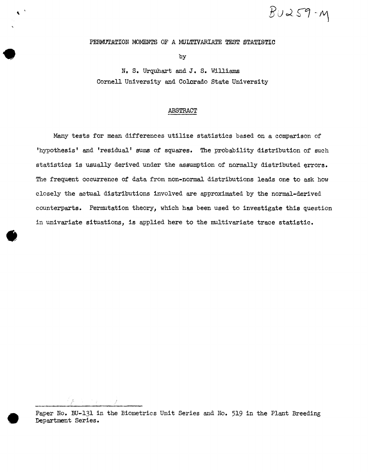$Bu259-y$ 

PERMUTATION MOMENTS OF A MULTIVARIATE TEST STATISTIC

by

N, S. Urquhart and J • S. Williams Cornell University and Colorado State University

#### ABSTRACT

Many tests for mean differences utilize statistics based on a comparison of 'hypothesis' and 'residual' sums of squares. The probability distribution of such statistica is usually derived under the assumption of normally distributed errors. The frequent occurrence of data from non-normal distributions leads one to ask how closely the actual distributions involved are approximated by the normal-derived counterparts. Permutation theory, which has been used to investigate this question in univariate situations, is applied here to the multivariate trace statistic •

 $\sqrt{2}$ 

•

Paper No. BU-131 in the Biometrics Unit Series and No. 519 in the Plant Breeding Department Series.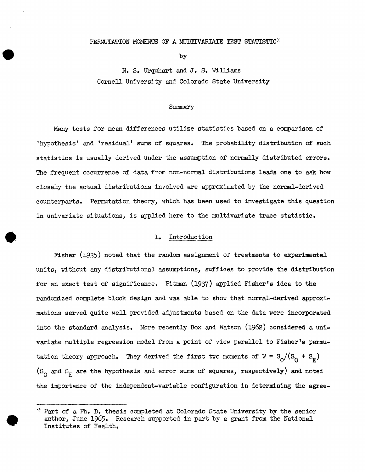### PERMUTATION MOMENTS OF A MULTIVARIATE TEST STATISTIC\*

by

N. s. Urquhart and J. s. Williams Cornell University and Colorado State University

#### Summary

Many tests for mean differences utilize statistics based on a comparison of 'hypothesis' and 'residual' sums of squares. The probability distribution of such statistics is usually derived under the assumption of normally distributed errors. The frequent occurrence of data from non-normal distributions leads one to ask how closely the actual distributions involved are approximated by the normal-derived counterparts. Permutation theory, which has been used to investigate this question in univariate situations, is applied here to the multivariate trace statistic •

### 1. Introduction

•

Fisher (1935) noted that the random assignment of treatments to experimental units, without any distributional assumptions, suffices to provide the distribution for an exact test of significance. Pitman (1937) applied Fisher's idea to the randomized complete block design and was able to show that normal-derived approximations served quite well provided adjustments based on the data were incorporated into the standard analysis. More recently Box and Watson  $(1962)$  considered a univariate multiple regression model from a point of view parallel to Fisher's permutation theory approach. They derived the first two moments of  $W = S_0/(S_0 + S_E)$  $(S_{\Omega})$  and  $S_{\mathbb{R}}$  are the hypothesis and error sums of squares, respectively) and noted the importance of the independent-variable configuration in determining the agree-

<sup>~}</sup> Part of a Ph. D. thesis completed at Colorado State University by the senior author, June 1965. Research supported in part by a grant from the National Institutes of Health.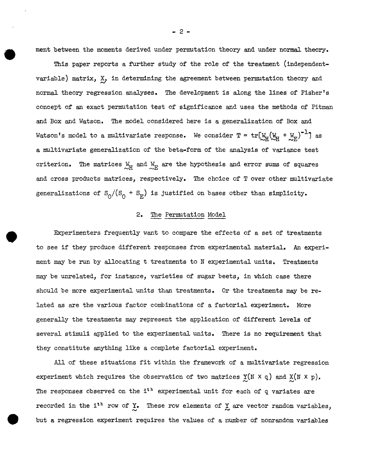ment between the moments derived under permutation theory and under normal theory.

This paper reports a further study of the role of the treatment (independentvariable) matrix,  $X_j$  in determining the agreement between permutation theory and normal theory regression analyses. The development is along the lines of Fisher's concept of an exact permutation test of significance and uses the methods of Pitman and Box and Watson. The model considered here is a generalization of Box and Watson's model to a multivariate response. We consider  $T = tr [M_H (M_H + M_E)^{-1}]$  as a multivariate generalization of the beta-form of the analysis of variance test criterion. The matrices  $\frac{W_H}{E}$  and  $\frac{W_E}{E}$  are the hypothesis and error sums of squares and cross products matrices, respectively. The choice of T over other multivariate generalizations of  $S_0/(S_0 + S_E)$  is justified on bases other than simplicity.

## 2. The Permutation Model

•

Experimenters frequently want to compare the effects of a set of treatments to see if they produce different responses from experimental material. An experiment may be run by allocating t treatments to N experimental units. Treatments may be unrelated, for instance, varieties of sugar beets, in which case there should be more experimental units than treatments. Or the treatments may be related as are the various factor combinations of a factorial experiment. More generally the treatments may represent the application of different levels of several stimuli applied to the experimental units. There is no requirement that they constitute anything like a complete factorial experiment.

All of these situations fit within the framework of a multivariate regression experiment which requires the observation of two matrices  $\underline{Y}(N \times q)$  and  $\underline{X}(N \times p)$ . The responses observed on the  $i^h$  experimental unit for each of q variates are recorded in the i<sup>th</sup> row of Y. These row elements of Y are vector random variables, but a regression experiment requires the values of a number of nonrandom variables

- 2 -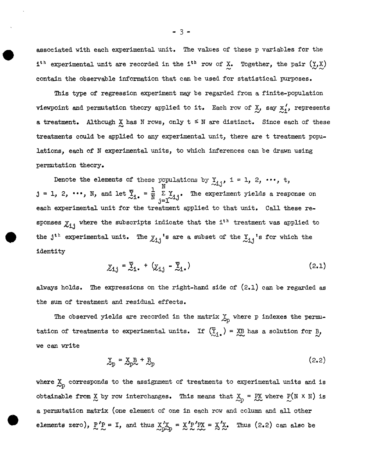associated with each experimental unit. The values of these p variables for the  $i^{th}$  experimental unit are recorded in the  $i^{th}$  row of X. Together, the pair  $(\underline{y}, \underline{x})$ contain the observable information that can be used for statistical purposes.

This type of regression experiment may be regarded from a finite-population viewpoint and permutation theory applied to it. Each row of  $\chi$ , say  $\chi'$ , represents a treatment. Although  $X$  has N rows, only  $t \leq N$  are distinct. Since each of these treatments could be applied to any experimental unit, there are t treatment populations, each of N experimental units, to which inferences can be drawn using permutation theory.

Denote the elements of these populations by  $\frac{y}{\lambda i}$ , i = 1, 2, ..., t,  $j = 1, 2, \cdots$ , N, and let  $\overline{Y}_{1\bullet} = \frac{1}{N} \sum_{j=1}^{N} Y_{1j}$ . The experiment yields a response on each experimental unit for the treatment applied to that unit, Call these responses  $\chi_{i,j}$  where the subscripts indicate that the i<sup>th</sup> treatment was applied to the j<sup>th</sup> experimental unit. The  $\chi_{i,j}$  's are a subset of the  $\chi_{i,j}$  's for which the identity

$$
\underline{y}_{i,j} = \overline{\underline{y}}_1 + (\underline{y}_{i,j} - \overline{\underline{y}}_1) \qquad (2.1)
$$

always holds. The expressions on the right-hand side of (2.1) can be regarded as the sum of treatment and residual effects.

The observed yields are recorded in the matrix  $\mathfrak{X}_p$  where p indexes the permutation of treatments to experimental units. If  $(\overline{Y}_i) = \overline{X}B$  has a solution for  $B_j$ ,<br>we can write

$$
\mathbf{X}_{\mathbf{p}} = \mathbf{X}_{\mathbf{p}} \mathbf{B} + \mathbf{R}_{\mathbf{p}} \tag{2.2}
$$

where  $\mathbb{X}_p$  corresponds to the assignment of treatments to experimental units and is obtainable from  $X$  by row interchanges. This means that  $X_{\text{D}} = \text{PX}$  where  $P(N \times N)$  is a permutation matrix (one element of one in each row and column and all other elements zero),  $f'_e = I$ , and thus  $\frac{X'X}{2P} = \frac{X'P'X}{N} = \frac{X'X}{N}$ . Thus (2.2) can also be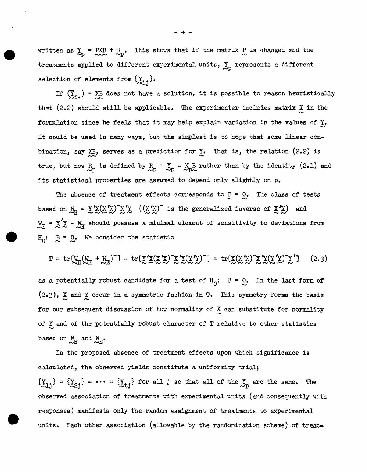written as  $\sum_{p}$  = PXB + R<sub>p</sub>. This shows that if the matrix P is changed and the treatments applied to different experimental units, *lp* represents a different selection of elements from  $\{\sum_{i=1}^s\}.$ 

If  $({\bar{x}}_1, )$  = XB does not have a solution, it is possible to reason heuristically that  $(2.2)$  should still be applicable. The experimenter includes matrix X in the formulation since he feels that it may help explain variation in the values of  $\underline{y}_\bullet$ It could be used in many ways, but the simplest is to hope that some linear combination, say  $XB$ , serves as a prediction for  $Y$ . That is, the relation (2.2) is true, but now  $R_p$  is defined by  $R_p = X_p - X_p B$  rather than by the identity (2.1) and its statistical properties are assumed to depend only slightly on p.

The absence of treatment effects corresponds to  $B = Q_0$ . The class of tests  $\approx$   $\approx$ based on  $\mathcal{L}_H = \chi' \chi(\chi' \chi) \chi' \chi$  ( $(\chi' \chi)'$  is the generalized inverse of  $\chi' \chi$ ) and I,  $\mathbb{E}_{\mathbf{E}} = \mathbb{X}'\mathbb{X} - \mathbb{X}_{\mathbf{H}}$  should possess a minimal element of sensitivity to deviations from  $H_0: \mathbb{R} = \mathbb{Q}$ . We consider the statistic

$$
\mathbf{T} = \text{tr}[\mathbf{W}_{\text{H}}(\mathbf{W}_{\text{H}} + \mathbf{W}_{\text{E}})^{-1}] = \text{tr}[\mathbf{Y}'\mathbf{X}(\mathbf{X}'\mathbf{X})^{\top}\mathbf{X}'\mathbf{Y}(\mathbf{Y}'\mathbf{Y})^{-1}] = \text{tr}[\mathbf{X}(\mathbf{X}'\mathbf{X})^{\top}\mathbf{X}'\mathbf{Y}(\mathbf{Y}'\mathbf{X})^{\top}\mathbf{X}']
$$
 (2.3)

as a potentially robust candidate for a test of  $H_0$ :  $B = 0$ . In the last form of  $(2.3)$ ,  $\chi$  and  $\chi$  occur in a symmetric fashion in T. This symmetry forms the basis for our subsequent discussion of how normality of  $X$  can substitute for normality of  $\chi$  and of the potentially robust character of T relative to other statistics based on  $W_H$  and  $W_H$ .

In the proposed absence of treatment effects upon which significance is calculated, the observed yields constitute a uniformity trial;  $\{\underline{y}_{1,j}\} = \{\underline{y}_{2,j}\} = \cdots = \{\underline{y}_{t,j}\}$  for all j so that all of the  $\underline{y}_p$  are the same. The observed association of treatments with experimental units (and consequently with responses) manifests only the random assignment of treatments to experimental units. Each other association (allowable by the randomization scheme) of treat.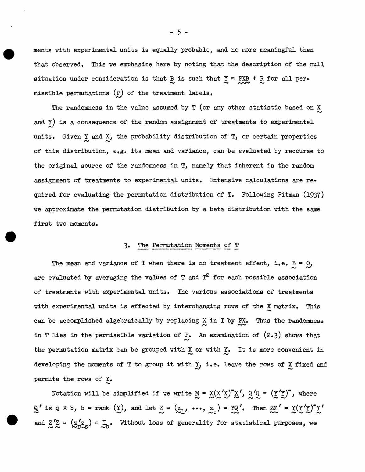menta with experimental units is equally probable, and no more meaningful than that observed. This we emphasize here by noting that the description of the null situation under consideration is that  $\frac{B}{C}$  is such that  $\frac{Y}{C} = \frac{PXB}{C} + \frac{R}{C}$  for all permissible permutations  $(P)$  of the treatment labels.

The randomness in the value assumed by T (or any other statistic based on X and Y) is a consequence of the random assignment of treatments to experimental units. Given  $Y$  and  $X$ , the probability distribution of  $T$ , or certain properties of this distribution, e.g. its mean and variance, can be evaluated by recourse to the original source of the randomness in T, namely that inherent in the random assignment of treatments to experimental units. Extensive calculations are required for evaluating the permutation distribution of T. Following Pitman (1937) we approximate the permutation distribution by a beta distribution with the same first two moments.

## 3· The Permutation Moments of T

The mean and variance of T when there is no treatment effect, i.e.  $B = Q$ , are evaluated by averaging the values of  $T$  and  $T^2$  for each possible association of treatments with experimental units. The various associations of treatments with experimental units is effected by interchanging rows of the X matrix. This can be accomplished algebraically by replacing X in T by PX. Thus the randomness in T lies in the permissible variation of  $P$ . An examination of  $(2.3)$  shows that the permutation matrix can be grouped with  $X$  or with  $Y$ . It is more convenient in developing the moments of T to group it with Y, i.e. leave the rows of X fixed and permute the rows of Y.  $\tilde{\sim}$ 

Notation will be simplified if we write  $M = \underline{X}(\underline{X}'\underline{X})^T \underline{X}'$ ,  $Q'Q = (\underline{Y}'\underline{Y})^T$ , where  $Q'$  is q  $\times$  b,  $b$  = rank ( $\underline{Y}$ ), and let  $\underline{Z} = (\underline{z}_1, ..., \underline{z}_b) = \underline{YQ}'$ . Then  $\underline{ZZ}' = \underline{Y(X'X)''Y}$ and  $Z'Z = (z'_{r\sim s}) = I_0$ . Without loss of generality for statistical purposes, we

 $-5 -$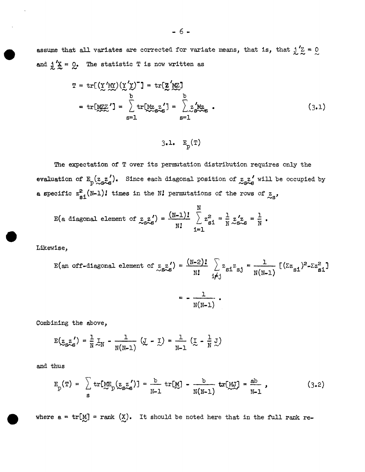assume that all variates are corrected for variate means, that is, that  $j'Z = 0$ and  $j'x = 0$ . The statistic T is now written as

$$
T = tr[(\underline{Y}'\underline{M}\underline{Y})(\underline{Y}'\underline{Y})^{\top}] = tr[\underline{Z}'\underline{M}\underline{Z}]
$$
  
\n
$$
= tr[\underline{M}\underline{Z}\underline{Y}'] = \sum_{s=1}^{b} tr[\underline{M}\underline{Z}_{s}\underline{Z}'_{s}] = \sum_{s=1}^{b} \underline{Z}'_{s}\underline{M}\underline{Z}_{s}.
$$
 (3.1)

$$
3.1. \quad E_p(T)
$$

The expectation of T over its permutation distribution requires only the evaluation of  $E_p(z, z')$ . Since each diagonal position of  $z, z'$  will be occupied by a specific  $z_{\text{si}}^2(N-1)$ ! times in the *N*! permutations of the rows of  $z_{\text{si}}$ ,

$$
E(a \text{ diagonal element of } z_{s \wedge s}^{z'}) = \frac{(N-1)!}{N!} \sum_{i=1}^{N} z_{si}^{2} = \frac{1}{N} z_{s \wedge s}^{z} = \frac{1}{N}.
$$

Likewise,

$$
E(an \text{ of } t\text{-diagonal element of } \underset{\sim}{z_{s}} z') = \frac{(N-2)!}{N!} \sum_{i \neq j} z_{si} z_{sj} = \frac{1}{N(N-1)} [(\Sigma z_{si})^2 - \Sigma z_{si}^2]
$$

$$
= -\frac{1}{N(N-1)}.
$$

Combining the above,

$$
E(\underline{z}_{S\stackrel{\sim}{\sim}S}) = \frac{1}{N} \underline{1}_N - \frac{1}{N(N-1)} (\underline{J} - \underline{1}) = \frac{1}{N-1} (\underline{1} - \frac{1}{N} \underline{J})
$$

and thus

$$
E_p(T) = \sum_{S} tr[ME_p(z_{S}z')] = \frac{b}{N-1} tr[M] - \frac{b}{N(N-1)} tr[MJ] = \frac{ab}{N-1},
$$
 (3.2)

where  $a = \text{tr}[M] = \text{rank } (X)$ . It should be noted here that in the full rank re-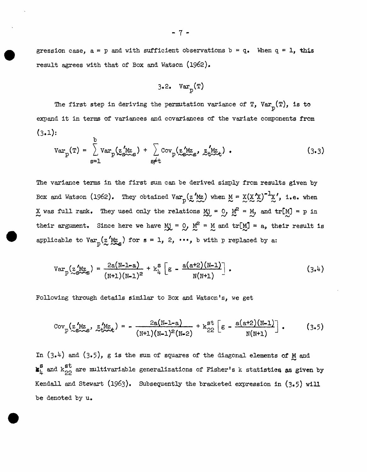gression case,  $a = p$  and with sufficient observations  $b = q$ . When  $q = 1$ , this result agrees with that of Box and Watson (1962).

$$
3.2. \quad \text{Var}_p(\mathbf{T})
$$

The first step in deriving the permutation variance of T, Var<sub>p</sub>(T), is to expand it in terms of variances and covariances of the variate components from  $(3.1):$ 

$$
Var_{p}(T) = \sum_{s=1}^{b} Var_{p}(\underset{s \neq t}{\sum_{s \sim s}}) + \sum_{s \neq t} Cov_{p}(\underset{s \sim s}{\sum_{s \sim s}}) = \underset{s \neq t}{\sum_{s \sim t}}). \qquad (3.3)
$$

The variance terms in the first sum can be derived simply from results given by Box and Watson (1962). They obtained  $Var_p(z'_{Mz})$  when  $M = X(X'_{X})^{-1}X'$ , i.e. when X was full rank. They used only the relations  $Mj = 0$ ,  $M^2 = M$ , and  $tr[M] = p$  in their argument. Since here we have  $Mj = 0$ ,  $M^2 = M$  and  $tr[M] = a$ , their result is applicable to  $Var_p(z'_{X_{\mathcal{A}}}')$  for  $s = 1, 2, \cdots$ , b with p replaced by a:

$$
Var_{p}(\mathbf{z}_{S\sim S}^{'MZ}) = \frac{2a(N-1-a)}{(N+1)(N-1)^{2}} + k_{\mu}^{S} \left[ g - \frac{a(a+2)(N-1)}{N(N+1)} \right],
$$
\n(3.4)

Following through details similar to Box and Watson's, we get

$$
Cov_{p}(z_{s\sim s}^{\prime}Mz, z_{t\sim t}^{\prime} ) = -\frac{2a(N-1-a)}{(N+1)(N-1)^{2}(N-2)} + k_{22}^{st} \left[ g - \frac{a(a+2)(N-1)}{N(N+1)} \right].
$$
 (3.5)

In (3.4) and (3.5), g is the sum of squares of the diagonal elements of  $M$  and  $\mathbf{g}_{\mu}^{\mathbf{g}}$  and  $\kappa_{22}^{\mathbf{st}}$  are multivariable generalizations of Fisher's k statistics as given by Kendall and Stewart (1963). Subsequently the bracketed expression in (3.5) will be denoted by u.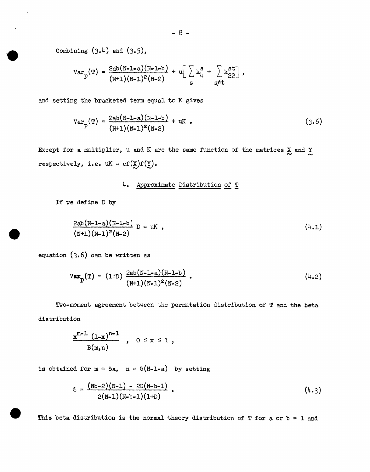Combining  $(3.4)$  and  $(3.5)$ ,

$$
6 - 8 - 8
$$
  
Combining (3.4) and (3.5),  

$$
Var_{p}(T) = \frac{2ab(N-1-a)(N-1-b)}{(N+1)(N-1)^{2}(N-2)} + u \left[ \sum_{g} k_{\mu}^{g} + \sum_{g \neq t} k_{22}^{g} \right],
$$

and setting the bracketed term equal to K gives

$$
Var_{p}(T) = \frac{2ab(N-L-a)(N-L-b)}{(N+1)(N-1)^{2}(N-2)} + uK
$$
 (3.6)

Except for a multiplier, u and K are the same function of the matrices  $\frac{X}{\sim}$  and  $\frac{Y}{\sim}$ respectively, i.e.  $uK = cf(\underline{X})f(\underline{Y})$ .

# 4. Approximate Distribution of T

If we define D by

$$
\frac{2ab(N-1-a)(N-1-b)}{(N+1)(N-1)^2(N-2)} D = uK , \qquad (4.1)
$$

equation (3.6) can be written as

$$
Var_{p}(T) = (1+D) \frac{2ab(N-1-a)(N-1-b)}{(N+1)(N-1)^{2}(N-2)}
$$
 (4.2)

Two-moment agreement between the permutation distribution of T and the beta distribution

$$
\frac{x^{m-1} (1-x)^{n-1}}{B(m,n)}, \quad 0 \leq x \leq 1,
$$

is obtained for  $m = \delta a$ ,  $n = \delta(N-1-a)$  by setting

$$
\delta = \frac{(Nb-2)(N-1) - 2D(N-b-1)}{2(N-1)(N-b-1)(1+D)}.
$$
\n(4.3)

This beta distribution is the normal theory distribution of  $T$  for a or  $b = 1$  and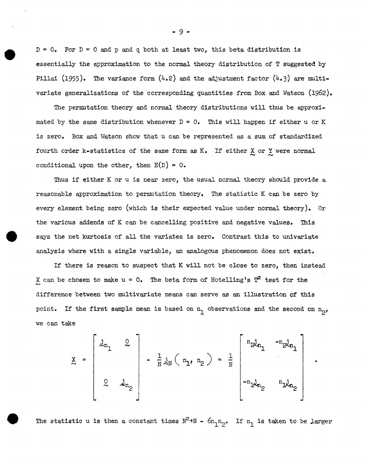$D = 0$ . For  $D = 0$  and p and q both at least two, this beta distribution is essentially the approximation to the normal theory distribution of T suggested by Pillai (1955). The variance form  $(4.2)$  and the adjustment factor  $(4.3)$  are multivariate generalizations of the corresponding quantities from Box and Watson (1962).

The permutation theory and normal theory distributions will thus be approximated by the same distribution whenever  $D = 0$ . This will happen if either u or K is zero. Box and Watson show that u can be represented as a sum of standardized fourth order k-statistics of the same form as K. If either  $\underline{X}$  or  $\underline{Y}$  were normal conditional upon the other, then  $E(D) = 0$ .

Thus if either K or u is near zero, the usual normal theory should provide a reasonable approximation to permutation theory. The statistic K can be zero by every element being zero (which is their expected value under normal theory). Or the various addends of K can be cancelling positive and negative values. This says the net kurtosis of all the variates is zero. Contrast this to univariate analysis where with a single variable, an analogous phenomenon does not exist.

If there is reason to suspect that K will not be close to zero, then instead X can be chosen to make  $u = 0$ . The beta form of Hotelling's  $T^2$  test for the difference between two multivariate means can serve as an illustration of this point. If the first sample mean is based on  $n_1$  observations and the second on  $n_2$ , we can take

$$
\sum_{\alpha} = \begin{bmatrix} j_{n_1} & 0 \\ 0 & j_{n_2} \end{bmatrix} - \frac{1}{N} j_N (n_1, n_2) = \frac{1}{N} \begin{bmatrix} n_2 j_{n_1} & -n_2 j_{n_1} \\ 0 & n_1 j_{n_2} \end{bmatrix}
$$

The statistic u is then a constant times  $N^2+N - 6n_1n_2$ . If  $n_1$  is taken to be larger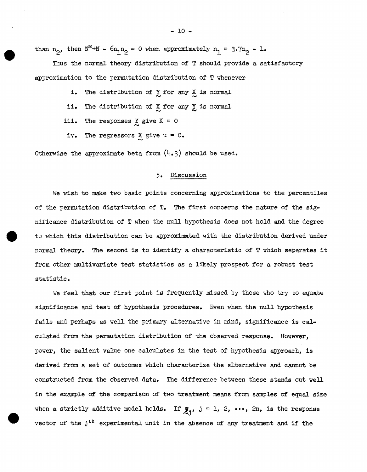than  $n_2$ , then  $N^2+N$  -  $6n_1n_2 = 0$  when approximately  $n_1 = 3.7n_2 - 1$ .

Thus the normal theory distribution of T should provide a satisfactory approximation to the permutation distribution of T whenever

- i. The distribution of  $X$  for any  $X$  is normal
- ii. The distribution of X for any Y is normal.<br>iii. The responses Y give K = 0
- The responses  $\underline{Y}$  give  $K = 0$
- iv. The regressors  $X$  give  $u = 0$ .  $\ddot{\sim}$

Otherwise the approximate beta from  $(4.3)$  should be used.

## 5· Discussion

We wish to make two basic points concerning approximations to the percentiles of the permutation distribution of  $T<sub>•</sub>$  The first concerns the nature of the  $sig$ nificance distribution of T when the null hypothesis does not hold and the degree to which this distribution can be approximated with the distribution derived under normal theory. The second is to identify a characteristic of T which separates it from other multivariate test statistics as a likely prospect for a robust test statistic.

We feel that our first point is frequently missed by those who try to equate significance and test of hypothesis procedures. Even when the null hypothesis fails and perhaps as well the primary alternative in mind, significance is calculated from the permutation distribution of the observed response. However, power, the salient value one calculates in the test of hypothesis approach, is derived from a set of outcomes which characterize the alternative and cannot be constructed from the observed data. The difference between these stands out well in the example of the comparison of two treatment means from samples of equal size when a strictly additive model holds. If  $\mathbf{y}_j$ ,  $j = 1, 2, \cdots$ , 2n, is the response vector of the jth experimental unit in the absence of any treatment and if the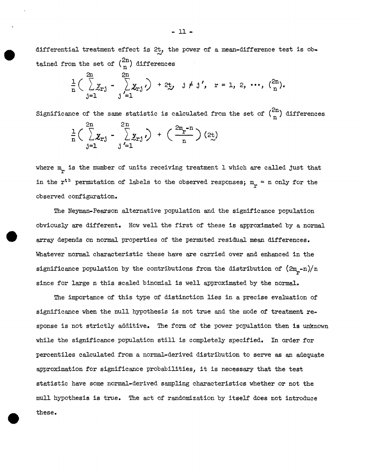differential treatment effect is  $2t$ , the power of a mean-difference test is obtained from the set of  $\binom{2n}{n}$  differences

$$
\frac{1}{n} \Big( \sum_{j=1}^{2n} y_{rj} - \sum_{j=1}^{2n} y_{rj} \Big) + 2y, \quad j \neq j', \quad r = 1, 2, \cdots, \ {2n \choose n}.
$$

Significance of the same statistic is calculated from the set of  $\binom{2n}{n}$  differences  $\frac{1}{n} \Big( \sum_{i=1}^{2n} x_{rj} \Big)$  j=l

where  $m_{\tilde{r}}$  is the number of units receiving treatment 1 which are called just that in the  $r^{t h}$  permutation of labels to the observed responses;  $m_{\tilde{T}} = n$  only for the observed configuration.

The Neyman-Pearson alternative population and the significance population obviously are different. How well the first of these is approximated by a normal array depends on normal properties of the permuted residual mean differences. Whatever normal characteristic these have are carried over and enhanced in the significance population by the contributions from the distribution of  $(2m_{\rm p}-n)/n$ since for large n this scaled binomial is well approximated by the normal.

The importance of this type of distinction lies in a precise evaluation of significance when the null hypothesis is not true and the mode of treatment response is not strictly additive. The form of the power population then is unknown while the significance population still is completely specified. In order for percentiles calculated from a normal-derived distribution to serve as an adequate approximation for significance probabilities, it is necessary that the test statistic have some normal-derived sampling characteristics whether or not the null hypothesis is true. The act of randomization by itself does not introduce these.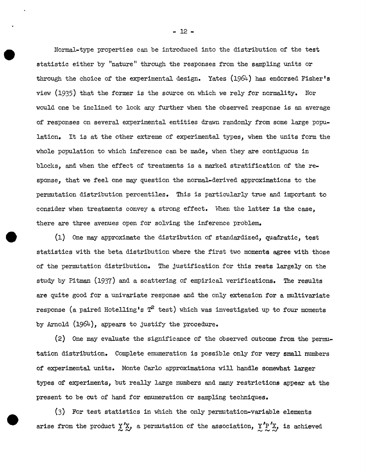Normal-type properties can be introduced into the distribution of the test statistic either by "nature" through the responses from the sampling units or through the choice of the experimental design. Yates (1964) has endorsed Fisher's view (1935) that the former is the source on which we rely for normality. Nor would one be inclined to look any further when the observed response is an average of responses on several experimental entities drawn randomly from some large population. It is at the other extreme of experimental types, when the units form the whole population to which inference can be made, when they are contiguous in blocks, and when the effect of treatments is a marked stratification of the response, that we feel one may question the normal-derived approximations to the permutation distribution percentiles. This is particularly true and important to consider when treatments convey a strong effect. When the latter is the case, there are three avenues open for solving the inference problem.

(1) One may approximate the distribution of standardized, quadratic, test statistics with the beta distribution where the first two moments agree with those of the permutation distribution. The justification for this rests largely on the study by Pitman (1937) and a scattering of empirical verifications. The results are quite good for a univariate response and the only extension for a multivariate response (a paired Hotelling's  $T^2$  test) which was investigated up to four moments by Arnold (1964), appears to justify the procedure.

(2) One may evaluate the significance of the observed outcome from the permutation distribution. Complete enumeration is possible only for very small numbers of experimental units. Monte Carlo approximations will handle somewhat larger types of experiments, but really large numbers and many restrictions appear at the present to be out of hand for enumeration or sampling techniques.

(3) For test statistics in which the only permutation-variable elements arise from the product  $\chi' \chi$ , a permutation of the association,  $\chi' P' \chi$ , is achieved

- 12-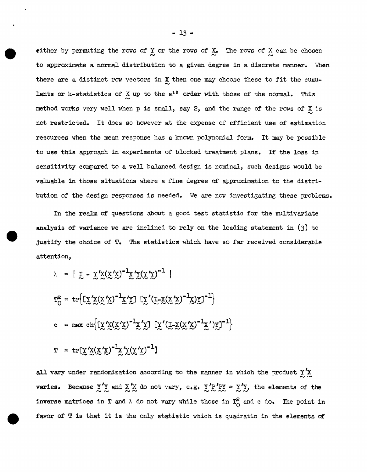either by permuting the rows of  $\chi$  or the rows of  $\chi$ . The rows of  $\chi$  can be chosen to approximate a normal distribution to a given degree in a discrete manner. When there are a distinct row vectors in  $X$  then one may choose these to fit the cumulants or k-statistics of  $\chi$  up to the a<sup>th</sup> order with those of the normal. This method works very well when p is small, say 2, and the range of the rows of X is not restricted. It does so however at the expense of efficient use of estimation resources when the mean response has a known polynomial form. It may be possible to use this approach in experiments of blocked treatment plans. If the loss in sensitivity compared to a well balanced design is nominal, such designs would be valuable in those situations where a fine degree of approximation to the distribution of the design responses is needed. We are now investigating these problems.

In the realm of questions about a good test statistic for the multivariate analysis of variance we are inclined to rely on the leading statement in (3) to justify the choice of T. The statistics which have so far received considerable attention,

$$
\lambda = | \underline{y} - \underline{y}' \underline{x} (\underline{x}' \underline{x})^{-1} \underline{x}' \underline{y} (\underline{y}' \underline{y})^{-1} |
$$
  
\n
$$
T_0^2 = \text{tr} \{ [\underline{y}' \underline{x} (\underline{x}' \underline{x})^{-1} \underline{x}' \underline{y}] [\underline{y}' (\underline{y} - \underline{x} (\underline{x}' \underline{x})^{-1} \underline{x}) \underline{y}]^{-1} \}
$$
  
\nc = max ch \{ [\underline{y}' \underline{x} (\underline{x}' \underline{x})^{-1} \underline{x}' \underline{y}] [\underline{y}' (\underline{y} - \underline{x} (\underline{x}' \underline{x})^{-1} \underline{x}') \underline{y}]^{-1} \}  
\n
$$
T = \text{tr} [\underline{y}' \underline{x} (\underline{x}' \underline{x})^{-1} \underline{x}' \underline{y} (\underline{y}' \underline{y})^{-1} ]
$$

all vary under randomization according to the manner in which the product  $\chi' \chi$ varies. Because  $\chi'$  and  $\chi'$  do not vary, e.g.  $\chi'$   $\chi'$   $\chi'$  =  $\chi'$   $\chi$ , the elements of the inverse matrices in T and  $\lambda$  do not vary while those in  $T_{\bigodot}^2$  and c do. The point in favor of  $T$  is that it is the only statistic which is quadratic in the elements of